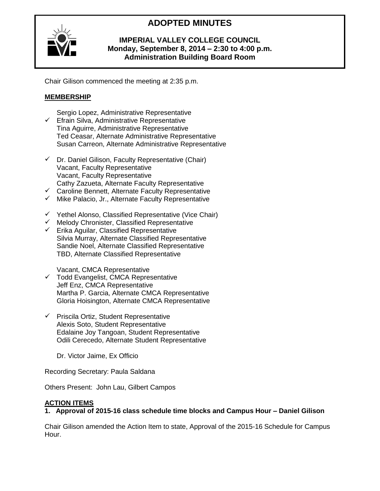# **ADOPTED MINUTES**



# **IMPERIAL VALLEY COLLEGE COUNCIL Monday, September 8, 2014 – 2:30 to 4:00 p.m. Administration Building Board Room**

Chair Gilison commenced the meeting at 2:35 p.m.

# **MEMBERSHIP**

- Sergio Lopez, Administrative Representative  $\checkmark$  Efrain Silva, Administrative Representative Tina Aguirre, Administrative Representative Ted Ceasar, Alternate Administrative Representative Susan Carreon, Alternate Administrative Representative
- $\checkmark$  Dr. Daniel Gilison, Faculty Representative (Chair) Vacant, Faculty Representative Vacant, Faculty Representative Cathy Zazueta, Alternate Faculty Representative
- $\checkmark$  Caroline Bennett, Alternate Faculty Representative
- $\checkmark$  Mike Palacio, Jr., Alternate Faculty Representative
- $\checkmark$  Yethel Alonso, Classified Representative (Vice Chair)
- $\checkmark$  Melody Chronister, Classified Representative
- $\checkmark$  Erika Aguilar, Classified Representative Silvia Murray, Alternate Classified Representative Sandie Noel, Alternate Classified Representative TBD, Alternate Classified Representative

Vacant, CMCA Representative

- $\checkmark$  Todd Evangelist, CMCA Representative Jeff Enz, CMCA Representative Martha P. Garcia, Alternate CMCA Representative Gloria Hoisington, Alternate CMCA Representative
- $\checkmark$  Priscila Ortiz, Student Representative Alexis Soto, Student Representative Edalaine Joy Tangoan, Student Representative Odili Cerecedo, Alternate Student Representative

Dr. Victor Jaime, Ex Officio

Recording Secretary: Paula Saldana

Others Present: John Lau, Gilbert Campos

#### **ACTION ITEMS**

**1. Approval of 2015-16 class schedule time blocks and Campus Hour – Daniel Gilison**

Chair Gilison amended the Action Item to state, Approval of the 2015-16 Schedule for Campus Hour.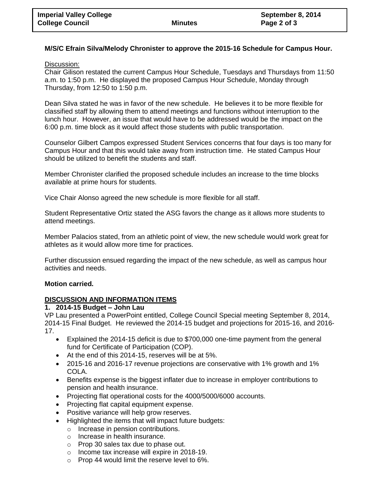## **M/S/C Efrain Silva/Melody Chronister to approve the 2015-16 Schedule for Campus Hour.**

#### Discussion:

Chair Gilison restated the current Campus Hour Schedule, Tuesdays and Thursdays from 11:50 a.m. to 1:50 p.m. He displayed the proposed Campus Hour Schedule, Monday through Thursday, from 12:50 to 1:50 p.m.

Dean Silva stated he was in favor of the new schedule. He believes it to be more flexible for classified staff by allowing them to attend meetings and functions without interruption to the lunch hour. However, an issue that would have to be addressed would be the impact on the 6:00 p.m. time block as it would affect those students with public transportation.

Counselor Gilbert Campos expressed Student Services concerns that four days is too many for Campus Hour and that this would take away from instruction time. He stated Campus Hour should be utilized to benefit the students and staff.

Member Chronister clarified the proposed schedule includes an increase to the time blocks available at prime hours for students.

Vice Chair Alonso agreed the new schedule is more flexible for all staff.

Student Representative Ortiz stated the ASG favors the change as it allows more students to attend meetings.

Member Palacios stated, from an athletic point of view, the new schedule would work great for athletes as it would allow more time for practices.

Further discussion ensued regarding the impact of the new schedule, as well as campus hour activities and needs.

#### **Motion carried.**

#### **DISCUSSION AND INFORMATION ITEMS**

#### **1. 2014-15 Budget – John Lau**

VP Lau presented a PowerPoint entitled, College Council Special meeting September 8, 2014, 2014-15 Final Budget. He reviewed the 2014-15 budget and projections for 2015-16, and 2016- 17.

- Explained the 2014-15 deficit is due to \$700,000 one-time payment from the general fund for Certificate of Participation (COP).
- At the end of this 2014-15, reserves will be at 5%.
- 2015-16 and 2016-17 revenue projections are conservative with 1% growth and 1% COLA.
- Benefits expense is the biggest inflater due to increase in employer contributions to pension and health insurance.
- Projecting flat operational costs for the 4000/5000/6000 accounts.
- Projecting flat capital equipment expense.
- Positive variance will help grow reserves.
- Highlighted the items that will impact future budgets:
	- o Increase in pension contributions.
	- o Increase in health insurance.
	- o Prop 30 sales tax due to phase out.
	- o Income tax increase will expire in 2018-19.
	- o Prop 44 would limit the reserve level to 6%.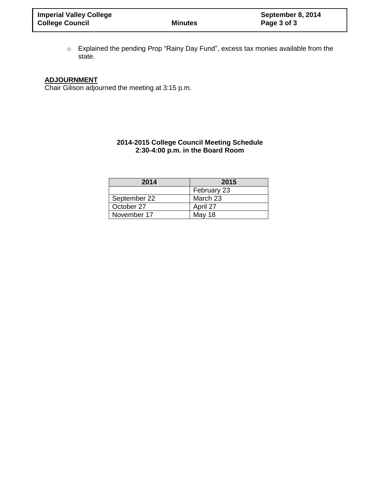o Explained the pending Prop "Rainy Day Fund", excess tax monies available from the state.

# **ADJOURNMENT**

Chair Gilison adjourned the meeting at 3:15 p.m.

#### **2014-2015 College Council Meeting Schedule 2:30-4:00 p.m. in the Board Room**

| 2014         | 2015        |  |  |  |
|--------------|-------------|--|--|--|
|              | February 23 |  |  |  |
| September 22 | March 23    |  |  |  |
| October 27   | April 27    |  |  |  |
| November 17  | May 18      |  |  |  |